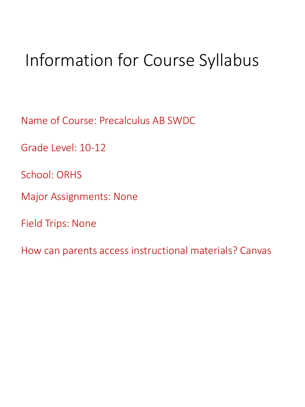# Information for Course Syllabus

Name of Course: Precalculus AB SWDC

Grade Level: 10-12

School: ORHS

Major Assignments: None

Field Trips: None

How can parents access instructional materials? Canvas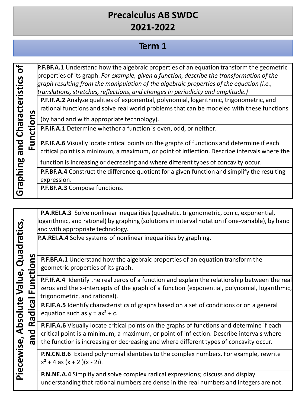#### **Term 1**

**G rap hing and C عب a r a**  $\mathbf{\mathbf{\mathsf{c}}}$ **teri stics of**

**n s** **P.F.BF.A.1** Understand how the algebraic properties of an equation transform the geometric properties of its graph. *For example, given a function, describe the transformation of the graph resulting from the manipulation of the algebraic properties of the equation (i.e., translations,stretches, reflections, and changes in periodicity and amplitude.)*

**P.F.IF.A.2** Analyze qualities of exponential, polynomial, logarithmic, trigonometric, and rational functions and solve real world problems that can be modeled with these functions

(by hand and with appropriate technology).

**o P.F.IF.A.1** Determine whether a function is even, odd, or neither.

**Functi P.F.IF.A.6** Visually locate critical points on the graphs of functions and determine if each critical point is a minimum, a maximum, or point of inflection. Describe intervals where the

function is increasing or decreasing and where different types of concavity occur.

**P.F.BF.A.4** Construct the difference quotient for a given function and simplify the resulting expression.

**P.F.BF.A.3** Compose functions.

**P.A.REI.A.3** Solve nonlinear inequalities (quadratic, trigonometric, conic, exponential, logarithmic, and rational) by graphing (solutionsin interval notation if one-variable), by hand and with appropriate technology.

**P.A.REI.A.4** Solve systems of nonlinear inequalities by graphing.

**P.F.BF.A.1** Understand how the algebraic properties of an equation transform the geometric properties of its graph.

**P.F.IF.A.4** Identify the real zeros of a function and explain the relationship between the real zeros and the x-intercepts of the graph of a function (exponential, polynomial, logarithmic, trigonometric, and rational).

**P.F.IF.A.5** Identify characteristics of graphs based on a set of conditions or on a general equation such as  $y = ax^2 + c$ .

**P.F.IF.A.6** Visually locate critical points on the graphs of functions and determine if each critical point is a minimum, a maximum, or point of inflection. Describe intervals where the function is increasing or decreasing and where different types of concavity occur.

**P.N.CN.B.6** Extend polynomial identitiesto the complex numbers. For example, rewrite  $x^2 + 4$  as  $(x + 2i)(x - 2i)$ .

**P.N.NE.A.4** Simplify and solve complex radical expressions; discuss and display understanding that rational numbers are dense in the real numbers and integers are not.

<u>تہ</u> **ecewise, Ab s olu t e Value, Q uad r atics, and Radi cal Fu nctions**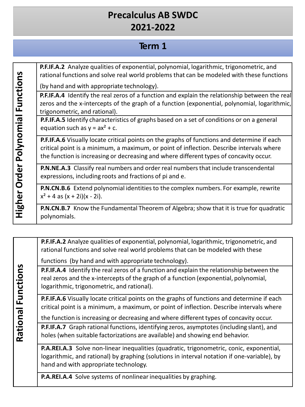#### **Term 1**

**P.F.IF.A.2** Analyze qualities of exponential, polynomial, logarithmic, trigonometric, and rational functions and solve real world problems that can be modeled with these functions

(by hand and with appropriate technology).

**P.F.IF.A.4** Identify the real zeros of a function and explain the relationship between the real zeros and the x-intercepts of the graph of a function (exponential, polynomial, logarithmic, trigonometric, and rational).

**P.F.IF.A.5** Identify characteristics of graphs based on a set of conditions or on a general equation such as  $y = ax^2 + c$ .

**P.F.IF.A.6** Visually locate critical points on the graphs of functions and determine if each critical point is a minimum, a maximum, or point of inflection. Describe intervals where the function is increasing or decreasing and where different types of concavity occur.

**P.N.NE.A.3** Classify real numbers and order real numbersthat include transcendental expressions, including roots and fractions of pi and e.

**P.N.CN.B.6** Extend polynomial identities to the complex numbers. For example, rewrite  $x^2 + 4$  as  $(x + 2i)(x - 2i)$ .

**P.N.CN.B.7** Know the Fundamental Theorem of Algebra; show that it is true for quadratic polynomials.

**P.F.IF.A.2** Analyze qualities of exponential, polynomial, logarithmic, trigonometric, and rational functions and solve real world problems that can be modeled with these

functions (by hand and with appropriate technology).

**P.F.IF.A.4** Identify the real zeros of a function and explain the relationship between the real zeros and the x-intercepts of the graph of a function (exponential, polynomial, logarithmic, trigonometric, and rational).

**P.F.IF.A.6** Visually locate critical points on the graphs of functions and determine if each critical point is a minimum, a maximum, or point of inflection. Describe intervals where

the function is increasing or decreasing and where differenttypes of concavity occur.

**P.F.IF.A.7** Graph rational functions, identifying zeros, asymptotes (including slant), and holes (when suitable factorizations are available) and showing end behavior.

**P.A.REI.A.3** Solve non-linear inequalities (quadratic, trigonometric, conic, exponential, logarithmic, and rational) by graphing (solutions in interval notation if one-variable), by hand and with appropriate technology.

**P.A.REI.A.4** Solve systems of nonlinear inequalities by graphing.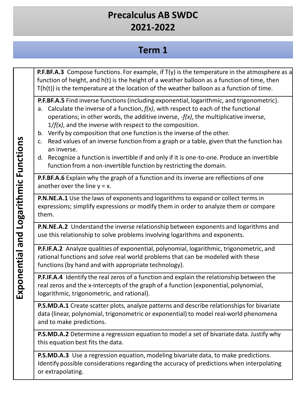# **Term 1**

**P.F.BF.A.3** Compose functions. For example, if T(y) is the temperature in the atmosphere as a function of height, and h(t) is the height of a weather balloon as a function of time, then T(h(t)) is the temperature at the location of the weather balloon as a function of time.

**P.F.BF.A.5** Find inverse functions (including exponential, logarithmic, and trigonometric).

- a. Calculate the inverse of a function, *f(x)*, with respect to each of the functional operations; in other words, the additive inverse, -*f(x)*, the multiplicative inverse, 1/*f(x)*, and the inverse with respect to the composition.
- b. Verify by composition that one function is the inverse of the other.
- c. Read values of an inverse function from a graph or a table, given that the function has an inverse.
- d. Recognize a function is invertible if and only if it is one-to-one. Produce an invertible function from a non-invertible function by restricting the domain.

**P.F.BF.A.6** Explain why the graph of a function and its inverse are reflections of one another over the line  $y = x$ .

**P.N.NE.A.1** Use the laws of exponents and logarithms to expand or collect terms in expressions; simplify expressions or modify them in order to analyze them or compare them.

**P.N.NE.A.2** Understand the inverse relationship between exponents and logarithms and use this relationship to solve problems involving logarithms and exponents.

**P.F.IF.A.2** Analyze qualities of exponential, polynomial, logarithmic, trigonometric, and rational functions and solve real world problems that can be modeled with these functions(by hand and with appropriate technology).

**P.F.IF.A.4** Identify the real zeros of a function and explain the relationship between the real zeros and the x-intercepts of the graph of a function (exponential, polynomial, logarithmic, trigonometric, and rational).

P.S.MD.A.1 Create scatter plots, analyze patterns and describe relationships for bivariate data (linear, polynomial, trigonometric or exponential) to model real-world phenomena and to make predictions.

**P.S.MD.A.2** Determine a regression equation to model a set of bivariate data. Justify why this equation best fits the data.

**P.S.MD.A.3** Use a regression equation, modeling bivariate data, to make predictions. Identify possible considerations regarding the accuracy of predictions when interpolating or extrapolating.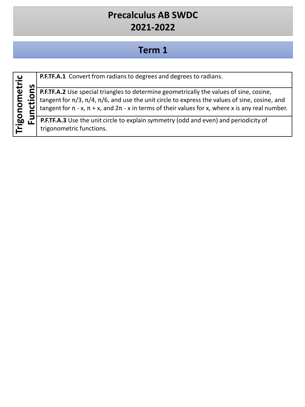### **Term 1**

| ပ  |   |
|----|---|
| Ē. |   |
| ى  | n |
| ധ  | ⊆ |
|    |   |
| ٤  | O |
|    |   |
| О  | Ξ |
|    | ں |
| ⊆  | ⊆ |
| О  |   |
|    | ⊃ |
| 60 | ட |
|    |   |
|    |   |
| ド  |   |

**P.F.TF.A.1** Convert from radiansto degrees and degrees to radians.

**P.F.TF.A.2** Use special triangles to determine geometrically the values of sine, cosine, tangent for  $\pi/3$ ,  $\pi/4$ ,  $\pi/6$ , and use the unit circle to express the values of sine, cosine, and tangent for  $\pi$  - x,  $\pi$  + x, and  $2\pi$  - x in terms of their values for x, where x is any real number.

**P.F.TF.A.3** Use the unit circle to explain symmetry (odd and even) and periodicity of trigonometric functions.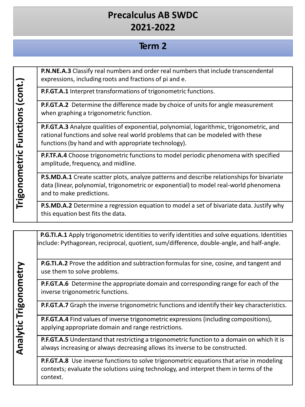#### **Term 2**

**P.N.NE.A.3** Classify real numbers and order real numbersthat include transcendental expressions, including roots and fractions of pi and e.

**P.F.GT.A.1** Interpret transformations of trigonometric functions.

**P.F.GT.A.2** Determine the difference made by choice of unitsfor angle measurement when graphing a trigonometric function.

**P.F.GT.A.3** Analyze qualities of exponential, polynomial, logarithmic, trigonometric, and rational functions and solve real world problems that can be modeled with these functions(by hand and with appropriate technology).

**P.F.TF.A.4** Choose trigonometric functionsto model periodic phenomena with specified amplitude, frequency, and midline.

**P.S.MD.A.1** Create scatter plots, analyze patterns and describe relationships for bivariate data (linear, polynomial, trigonometric or exponential) to model real-world phenomena and to make predictions.

**P.S.MD.A.2** Determine a regression equation to model a set of bivariate data. Justify why this equation best fits the data.

**P.G.TI.A.1** Apply trigonometric identities to verify identities and solve equations. Identities include: Pythagorean, reciprocal, quotient, sum/difference, double-angle, and half-angle.

**P.G.TI.A.2** Prove the addition and subtraction formulas for sine, cosine, and tangent and use them to solve problems.

**P.F.GT.A.6** Determine the appropriate domain and corresponding range for each of the inverse trigonometric functions.

**P.F.GT.A.7** Graph the inverse trigonometric functions and identify their key characteristics.

**P.F.GT.A.4** Find values of inverse trigonometric expressions (including compositions), applying appropriate domain and range restrictions.

**P.F.GT.A.5** Understand that restricting a trigonometric function to a domain on which it is always increasing or always decreasing allows its inverse to be constructed.

**P.F.GT.A.8** Use inverse functions to solve trigonometric equations that arise in modeling contexts; evaluate the solutions using technology, and interpret them in terms of the context.

**Tri g o nom etric F u ncti o n s(c o n t.)**

**Anal**

**ytic**

**Tri g o**

**nom**

**e t r y**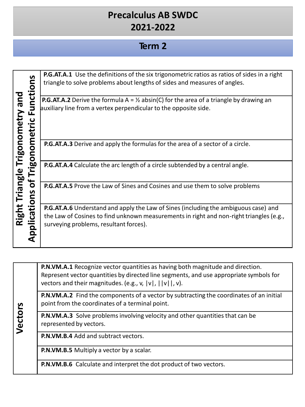#### **Term 2**

|                           | $\overline{\mathbf{v}}$<br>unction  | <b>P.G.AT.A.1</b> Use the definitions of the six trigonometric ratios as ratios of sides in a right<br>triangle to solve problems about lengths of sides and measures of angles.                                                |
|---------------------------|-------------------------------------|---------------------------------------------------------------------------------------------------------------------------------------------------------------------------------------------------------------------------------|
| Triangle Trigonometry and | ய<br>metric                         | <b>P.G.AT.A.2</b> Derive the formula A = $\frac{1}{2}$ absin(C) for the area of a triangle by drawing an<br>auxiliary line from a vertex perpendicular to the opposite side.                                                    |
|                           | $\bullet$<br>č                      | P.G.AT.A.3 Derive and apply the formulas for the area of a sector of a circle.                                                                                                                                                  |
|                           | 80                                  | <b>P.G.AT.A.4</b> Calculate the arc length of a circle subtended by a central angle.                                                                                                                                            |
|                           | Ó<br>S<br>$\mathbf{C}$<br>$\bullet$ | <b>P.G.AT.A.5</b> Prove the Law of Sines and Cosines and use them to solve problems                                                                                                                                             |
| Right <sup>-</sup>        | ₽<br>Applica                        | <b>P.G.AT.A.6</b> Understand and apply the Law of Sines (including the ambiguous case) and<br>the Law of Cosines to find unknown measurements in right and non-right triangles (e.g.,<br>surveying problems, resultant forces). |

**P.N.VM.A.1** Recognize vector quantities as having both magnitude and direction. Represent vector quantities by directed line segments, and use appropriate symbols for vectors and their magnitudes. (e.g., v, |v|, ||v||, v).

**P.N.VM.A.2** Find the components of a vector by subtracting the coordinates of an initial point from the coordinates of a terminal point.

**P.N.VM.A.3** Solve problems involving velocity and other quantities that can be represented by vectors.

**P.N.VM.B.4** Add and subtract vectors.

**Ve**  $\mathbf{\mathbf{\mathsf{c}}}$ **t o r s**

**P.N.VM.B.5** Multiply a vector by a scalar.

**P.N.VM.B.6** Calculate and interpret the dot product of two vectors.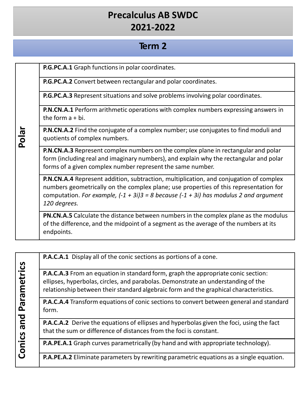#### **Term 2**

**P.G.PC.A.1** Graph functions in polar coordinates.

**Polar**

**P.G.PC.A.2** Convert between rectangular and polar coordinates.

**P.G.PC.A.3** Represent situations and solve problems involving polar coordinates.

**P.N.CN.A.1** Perform arithmetic operations with complex numbers expressing answers in the form a + bi.

**P.N.CN.A.2** Find the conjugate of a complex number; use conjugates to find moduli and quotients of complex numbers.

**P.N.CN.A.3** Represent complex numbers on the complex plane in rectangular and polar form (including real and imaginary numbers), and explain why the rectangular and polar forms of a given complex number represent the same number.

**P.N.CN.A.4** Represent addition, subtraction, multiplication, and conjugation of complex numbers geometrically on the complex plane; use properties of this representation for computation. *For example, (-1 + 3i)3 = 8 because (-1 + 3i) has modulus 2 and argument 120 degrees.*

**PN.CN.A.5** Calculate the distance between numbers in the complex plane as the modulus of the difference, and the midpoint of a segment as the average of the numbers at its endpoints.

|               | <b>P.A.C.A.1</b> Display all of the conic sections as portions of a cone.                                                                                                                                                                                       |
|---------------|-----------------------------------------------------------------------------------------------------------------------------------------------------------------------------------------------------------------------------------------------------------------|
| Parametrics   | P.A.C.A.3 From an equation in standard form, graph the appropriate conic section:<br>ellipses, hyperbolas, circles, and parabolas. Demonstrate an understanding of the<br>relationship between their standard algebraic form and the graphical characteristics. |
|               | <b>P.A.C.A.4</b> Transform equations of conic sections to convert between general and standard<br>form.                                                                                                                                                         |
| bue<br>Conics | <b>P.A.C.A.2</b> Derive the equations of ellipses and hyperbolas given the foci, using the fact<br>that the sum or difference of distances from the foci is constant.                                                                                           |
|               | P.A.PE.A.1 Graph curves parametrically (by hand and with appropriate technology).                                                                                                                                                                               |
|               | <b>P.A.PE.A.2</b> Eliminate parameters by rewriting parametric equations as a single equation.                                                                                                                                                                  |